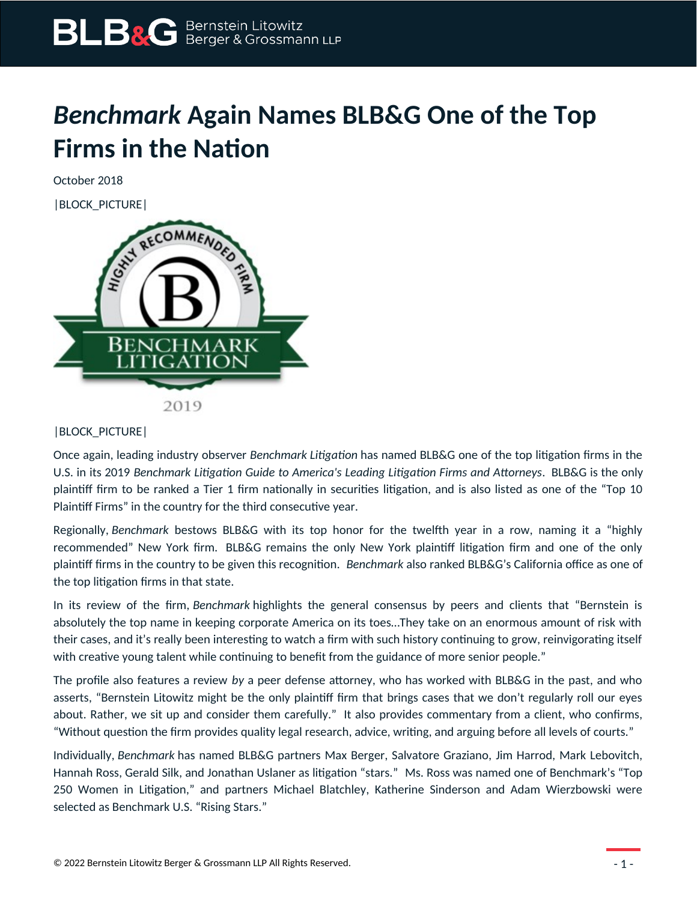## *Benchmark* **Again Names BLB&G One of the Top Firms in the Nation**

October 2018



## |BLOCK\_PICTURE|

Once again, leading industry observer *Benchmark Litigation* has named BLB&G one of the top litigation firms in the U.S. in its 2019 *Benchmark Litigation Guide to America's Leading Litigation Firms and Attorneys*. BLB&G is the only plaintiff firm to be ranked a Tier 1 firm nationally in securities litigation, and is also listed as one of the "Top 10 Plaintiff Firms" in the country for the third consecutive year.

Regionally, *Benchmark* bestows BLB&G with its top honor for the twelfth year in a row, naming it a "highly recommended" New York firm. BLB&G remains the only New York plaintiff litigation firm and one of the only plaintiff firms in the country to be given this recognition. *Benchmark* also ranked BLB&G's California office as one of the top litigation firms in that state.

In its review of the firm, *Benchmark* highlights the general consensus by peers and clients that "Bernstein is absolutely the top name in keeping corporate America on its toes…They take on an enormous amount of risk with their cases, and it's really been interesting to watch a firm with such history continuing to grow, reinvigorating itself with creative young talent while continuing to benefit from the guidance of more senior people."

The profile also features a review *by* a peer defense attorney, who has worked with BLB&G in the past, and who asserts, "Bernstein Litowitz might be the only plaintiff firm that brings cases that we don't regularly roll our eyes about. Rather, we sit up and consider them carefully." It also provides commentary from a client, who confirms, "Without question the firm provides quality legal research, advice, writing, and arguing before all levels of courts."

Individually, *Benchmark* has named BLB&G partners Max Berger, Salvatore Graziano, Jim Harrod, Mark Lebovitch, Hannah Ross, Gerald Silk, and Jonathan Uslaner as litigation "stars." Ms. Ross was named one of Benchmark's "Top 250 Women in Litigation," and partners Michael Blatchley, Katherine Sinderson and Adam Wierzbowski were selected as Benchmark U.S. "Rising Stars."